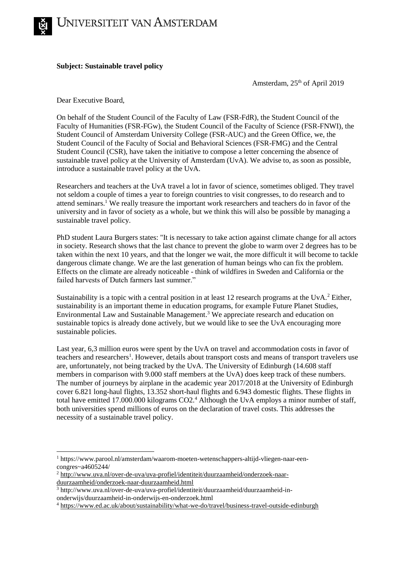

## **Subject: Sustainable travel policy**

Amsterdam, 25<sup>th</sup> of April 2019

Dear Executive Board,

On behalf of the Student Council of the Faculty of Law (FSR-FdR), the Student Council of the Faculty of Humanities (FSR-FGw), the Student Council of the Faculty of Science (FSR-FNWI), the Student Council of Amsterdam University College (FSR-AUC) and the Green Office, we, the Student Council of the Faculty of Social and Behavioral Sciences (FSR-FMG) and the Central Student Council (CSR), have taken the initiative to compose a letter concerning the absence of sustainable travel policy at the University of Amsterdam (UvA). We advise to, as soon as possible, introduce a sustainable travel policy at the UvA.

Researchers and teachers at the UvA travel a lot in favor of science, sometimes obliged. They travel not seldom a couple of times a year to foreign countries to visit congresses, to do research and to attend seminars.<sup>1</sup> We really treasure the important work researchers and teachers do in favor of the university and in favor of society as a whole, but we think this will also be possible by managing a sustainable travel policy.

PhD student Laura Burgers states: "It is necessary to take action against climate change for all actors in society. Research shows that the last chance to prevent the globe to warm over 2 degrees has to be taken within the next 10 years, and that the longer we wait, the more difficult it will become to tackle dangerous climate change. We are the last generation of human beings who can fix the problem. Effects on the climate are already noticeable - think of wildfires in Sweden and California or the failed harvests of Dutch farmers last summer."

Sustainability is a topic with a central position in at least 12 research programs at the UvA.<sup>2</sup> Either, sustainability is an important theme in education programs, for example Future Planet Studies, Environmental Law and Sustainable Management.<sup>3</sup> We appreciate research and education on sustainable topics is already done actively, but we would like to see the UvA encouraging more sustainable policies.

Last year, 6,3 million euros were spent by the UvA on travel and accommodation costs in favor of teachers and researchers<sup>1</sup>. However, details about transport costs and means of transport travelers use are, unfortunately, not being tracked by the UvA. The University of Edinburgh (14.608 staff members in comparison with 9.000 staff members at the UvA) does keep track of these numbers. The number of journeys by airplane in the academic year 2017/2018 at the University of Edinburgh cover 6.821 long-haul flights, 13.352 short-haul flights and 6.943 domestic flights. These flights in total have emitted 17.000.000 kilograms CO2.<sup>4</sup> Although the UvA employs a minor number of staff, both universities spend millions of euros on the declaration of travel costs. This addresses the necessity of a sustainable travel policy.



1

<sup>1</sup> https://www.parool.nl/amsterdam/waarom-moeten-wetenschappers-altijd-vliegen-naar-eencongres~a4605244/

<sup>2</sup> [http://www.uva.nl/over-de-uva/uva-profiel/identiteit/duurzaamheid/onderzoek-naar](http://www.uva.nl/over-de-uva/uva-profiel/identiteit/duurzaamheid/onderzoek-naar-duurzaamheid/onderzoek-naar-duurzaamheid.html)[duurzaamheid/onderzoek-naar-duurzaamheid.html](http://www.uva.nl/over-de-uva/uva-profiel/identiteit/duurzaamheid/onderzoek-naar-duurzaamheid/onderzoek-naar-duurzaamheid.html)

<sup>3</sup> http://www.uva.nl/over-de-uva/uva-profiel/identiteit/duurzaamheid/duurzaamheid-inonderwijs/duurzaamheid-in-onderwijs-en-onderzoek.html

<sup>4</sup> <https://www.ed.ac.uk/about/sustainability/what-we-do/travel/business-travel-outside-edinburgh>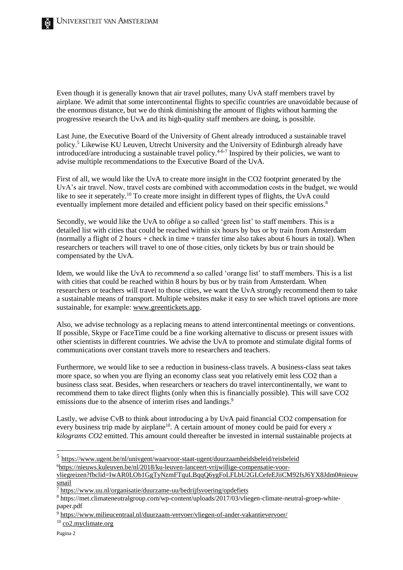Even though it is generally known that air travel pollutes, many UvA staff members travel by airplane. We admit that some intercontinental flights to specific countries are unavoidable because of the enormous distance, but we do think diminishing the amount of flights without harming the progressive research the UvA and its high-quality staff members are doing, is possible.

Last June, the Executive Board of the University of Ghent already introduced a sustainable travel policy.<sup>5</sup> Likewise KU Leuven, Utrecht University and the University of Edinburgh already have introduced/are introducing a sustainable travel policy.<sup>4-6-7</sup> Inspired by their policies, we want to advise multiple recommendations to the Executive Board of the UvA.

First of all, we would like the UvA to create more insight in the CO2 footprint generated by the UvA's air travel. Now, travel costs are combined with accommodation costs in the budget, we would like to see it seperately.<sup>10</sup> To create more insight in different types of flights, the UvA could eventually implement more detailed and efficient policy based on their specific emissions.<sup>8</sup>

Secondly, we would like the UvA to *oblige* a so called 'green list' to staff members. This is a detailed list with cities that could be reached within six hours by bus or by train from Amsterdam (normally a flight of 2 hours + check in time + transfer time also takes about 6 hours in total). When researchers or teachers will travel to one of those cities, only tickets by bus or train should be compensated by the UvA.

Idem, we would like the UvA to *recommend* a so called 'orange list' to staff members. This is a list with cities that could be reached within 8 hours by bus or by train from Amsterdam. When researchers or teachers will travel to those cities, we want the UvA strongly recommend them to take a sustainable means of transport. Multiple websites make it easy to see which travel options are more sustainable, for example[: www.greentickets.app.](http://www.greentickets.app/)

Also, we advise technology as a replacing means to attend intercontinental meetings or conventions. If possible, Skype or FaceTime could be a fine working alternative to discuss or present issues with other scientists in different countries. We advise the UvA to promote and stimulate digital forms of communications over constant travels more to researchers and teachers.

Furthermore, we would like to see a reduction in business-class travels. A business-class seat takes more space, so when you are flying an economy class seat you relatively emit less CO2 than a business class seat. Besides, when researchers or teachers do travel intercontinentally, we want to recommend them to take direct flights (only when this is financially possible). This will save CO2 emissions due to the absence of interim rises and landings.<sup>9</sup>

Lastly, we advise CvB to think about introducing a by UvA paid financial CO2 compensation for every business trip made by airplane<sup>10</sup>. A certain amount of money could be paid for every  $x$ *kilograms CO2* emitted. This amount could thereafter be invested in internal sustainable projects at

<sup>10</sup> [co2.myclimate.org](http://co2.myclimate.org/)

-

<sup>5</sup> <https://www.ugent.be/nl/univgent/waarvoor-staat-ugent/duurzaamheidsbeleid/reisbeleid> 6[https://nieuws.kuleuven.be/nl/2018/ku-leuven-lanceert-vrijwillige-compensatie-voor-](https://nieuws.kuleuven.be/nl/2018/ku-leuven-lanceert-vrijwillige-compensatie-voor-vliegreizen?fbclid=IwAR0LOb1GgTyNzmFTquLBqqQ6ygFoLFLbU2GLCefeEJiiCM92fsJ6YX8Jdm0#nieuwsmail)

[vliegreizen?fbclid=IwAR0LOb1GgTyNzmFTquLBqqQ6ygFoLFLbU2GLCefeEJiiCM92fsJ6YX8Jdm0#nieuw](https://nieuws.kuleuven.be/nl/2018/ku-leuven-lanceert-vrijwillige-compensatie-voor-vliegreizen?fbclid=IwAR0LOb1GgTyNzmFTquLBqqQ6ygFoLFLbU2GLCefeEJiiCM92fsJ6YX8Jdm0#nieuwsmail) [smail](https://nieuws.kuleuven.be/nl/2018/ku-leuven-lanceert-vrijwillige-compensatie-voor-vliegreizen?fbclid=IwAR0LOb1GgTyNzmFTquLBqqQ6ygFoLFLbU2GLCefeEJiiCM92fsJ6YX8Jdm0#nieuwsmail)

<sup>7</sup> <https://www.uu.nl/organisatie/duurzame-uu/bedrijfsvoering/opdefiets>

<sup>8</sup> https://met.climateneutralgroup.com/wp-content/uploads/2017/03/vliegen-climate-neutral-groep-whitepaper.pdf

<sup>9</sup> <https://www.milieucentraal.nl/duurzaam-vervoer/vliegen-of-ander-vakantievervoer/>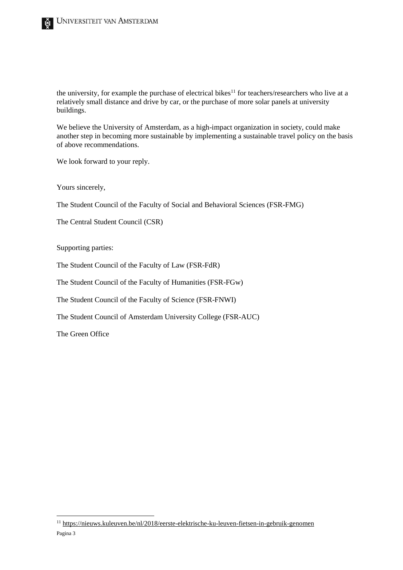the university, for example the purchase of electrical bikes $11$  for teachers/researchers who live at a relatively small distance and drive by car, or the purchase of more solar panels at university buildings.

We believe the University of Amsterdam, as a high-impact organization in society, could make another step in becoming more sustainable by implementing a sustainable travel policy on the basis of above recommendations.

We look forward to your reply.

Yours sincerely,

The Student Council of the Faculty of Social and Behavioral Sciences (FSR-FMG)

The Central Student Council (CSR)

Supporting parties:

The Student Council of the Faculty of Law (FSR-FdR)

The Student Council of the Faculty of Humanities (FSR-FGw)

The Student Council of the Faculty of Science (FSR-FNWI)

The Student Council of Amsterdam University College (FSR-AUC)

The Green Office

-

Pagina 3 <sup>11</sup> <https://nieuws.kuleuven.be/nl/2018/eerste-elektrische-ku-leuven-fietsen-in-gebruik-genomen>